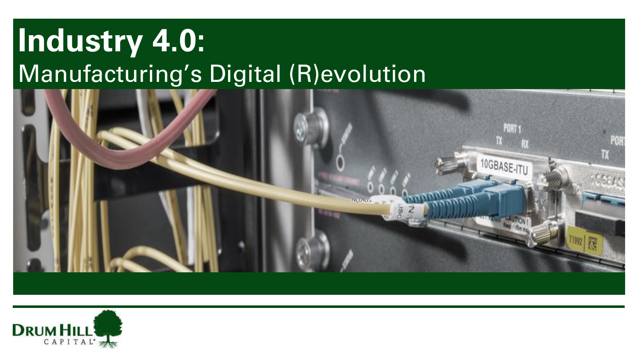## **Industry 4.0:** Manufacturing's Digital (R)evolution



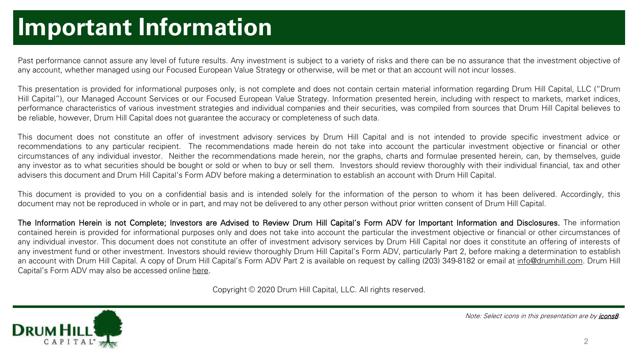#### **Important Information**

Past performance cannot assure any level of future results. Any investment is subject to a variety of risks and there can be no assurance that the investment objective of any account, whether managed using our Focused European Value Strategy or otherwise, will be met or that an account will not incur losses.

This presentation is provided for informational purposes only, is not complete and does not contain certain material information regarding Drum Hill Capital, LLC ("Drum Hill Capital"), our Managed Account Services or our Focused European Value Strategy. Information presented herein, including with respect to markets, market indices, performance characteristics of various investment strategies and individual companies and their securities, was compiled from sources that Drum Hill Capital believes to be reliable, however, Drum Hill Capital does not guarantee the accuracy or completeness of such data.

This document does not constitute an offer of investment advisory services by Drum Hill Capital and is not intended to provide specific investment advice or recommendations to any particular recipient. The recommendations made herein do not take into account the particular investment objective or financial or other circumstances of any individual investor. Neither the recommendations made herein, nor the graphs, charts and formulae presented herein, can, by themselves, guide any investor as to what securities should be bought or sold or when to buy or sell them. Investors should review thoroughly with their individual financial, tax and other advisers this document and Drum Hill Capital's Form ADV before making a determination to establish an account with Drum Hill Capital.

This document is provided to you on a confidential basis and is intended solely for the information of the person to whom it has been delivered. Accordingly, this document may not be reproduced in whole or in part, and may not be delivered to any other person without prior written consent of Drum Hill Capital.

The Information Herein is not Complete; Investors are Advised to Review Drum Hill Capital's Form ADV for Important Information and Disclosures. The information contained herein is provided for informational purposes only and does not take into account the particular the investment objective or financial or other circumstances of any individual investor. This document does not constitute an offer of investment advisory services by Drum Hill Capital nor does it constitute an offering of interests of any investment fund or other investment. Investors should review thoroughly Drum Hill Capital's Form ADV, particularly Part 2, before making a determination to establish an account with Drum Hill Capital. A copy of Drum Hill Capital's Form ADV Part 2 is available on request by calling (203) 349-8182 or email at [info@drumhill.com](mailto:info@drumhill.com). Drum Hill Capital's Form ADV may also be accessed online [here](https://adviserinfo.sec.gov/firm/brochure/123359).

Copyright © 2020 Drum Hill Capital, LLC. All rights reserved.



Note: Select icons in this presentation are by [icons8.](http://www.icons8.com/)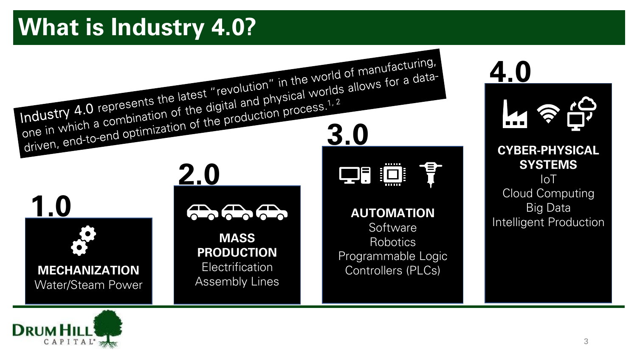## **What is Industry 4.0?**



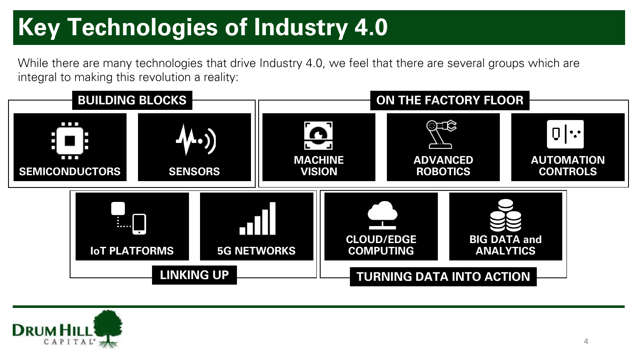## **Key Technologies of Industry 4.0**

While there are many technologies that drive Industry 4.0, we feel that there are several groups which are integral to making this revolution a reality:



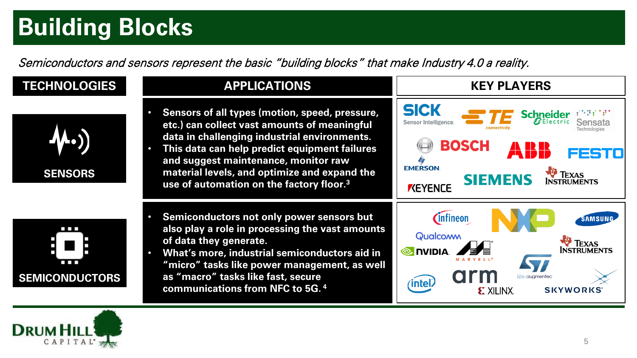## **Building Blocks**

Semiconductors and sensors represent the basic "building blocks" that make Industry 4.0 a reality.



 $\begin{array}{c} \begin{array}{c} \begin{array}{c} \end{array} \\ \end{array} \end{array}$ 



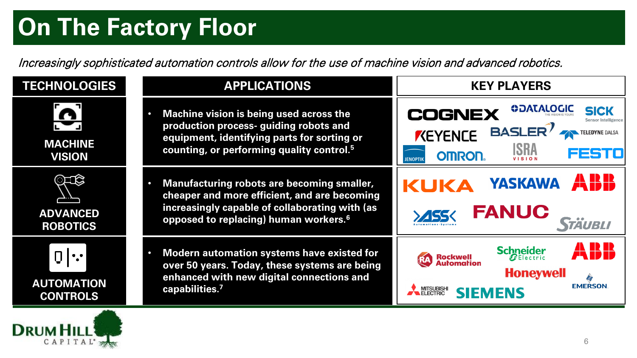### **On The Factory Floor**

Increasingly sophisticated automation controls allow for the use of machine vision and advanced robotics.

| <b>TECHNOLOGIES</b>                       | <b>APPLICATIONS</b>                                                                                                                                                                               | <b>KEY PLAYERS</b>                                                                                                                                       |
|-------------------------------------------|---------------------------------------------------------------------------------------------------------------------------------------------------------------------------------------------------|----------------------------------------------------------------------------------------------------------------------------------------------------------|
| <b>MACHINE</b><br><b>VISION</b>           | Machine vision is being used across the<br>production process- guiding robots and<br>equipment, identifying parts for sorting or<br>counting, or performing quality control. <sup>5</sup>         | <b>ODATALOGIC</b><br><b>SICK</b><br><b>COGNEX</b><br><b>BASLER</b><br>KEYENCE<br><b>TELEDYNE DALSA</b><br>ISRA<br>235<br><b>OMRON</b><br><b>JENOPTIK</b> |
| ೧ದಜ<br><b>ADVANCED</b><br><b>ROBOTICS</b> | Manufacturing robots are becoming smaller,<br>cheaper and more efficient, and are becoming<br>increasingly capable of collaborating with (as<br>opposed to replacing) human workers. <sup>6</sup> | <b>YASKAWA</b><br>KUKA<br><b>FANUC</b><br><i><b>STAUBLI</b></i>                                                                                          |
| <b>AUTOMATION</b><br><b>CONTROLS</b>      | Modern automation systems have existed for<br>over 50 years. Today, these systems are being<br>enhanced with new digital connections and<br>capabilities. <sup>7</sup>                            | A B H<br><b>Schneider</b><br><b>Rockwell</b><br>Automation<br><b>Honeywell</b><br><b>EMERSON</b><br>MITSUBISHI<br><b>SIEMENS</b>                         |

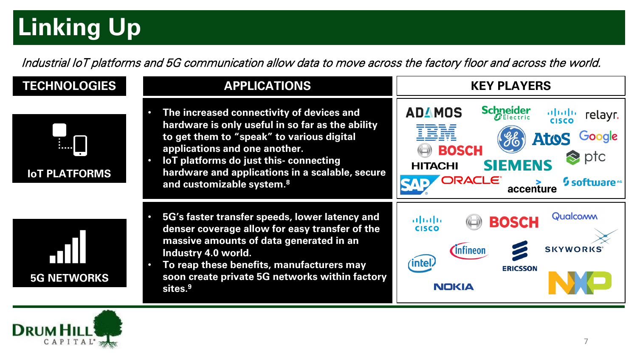## **Linking Up**

Industrial IoT platforms and 5G communication allow data to move across the factory floor and across the world.

#### **TECHNOLOGIES APPLICATIONS**





**KEY PLAYERS**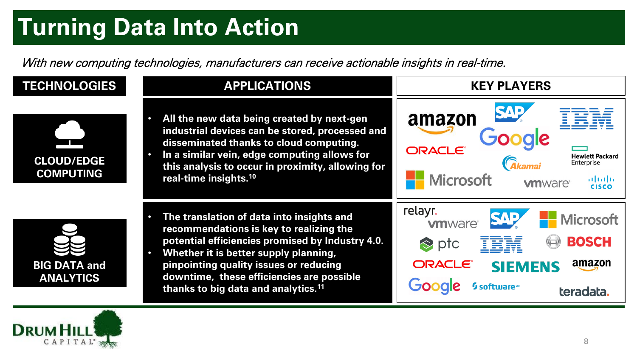## **Turning Data Into Action**

With new computing technologies, manufacturers can receive actionable insights in real-time.



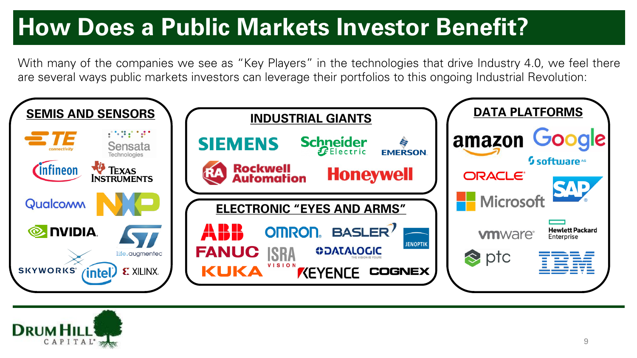## **How Does a Public Markets Investor Benefit?**

With many of the companies we see as "Key Players" in the technologies that drive Industry 4.0, we feel there are several ways public markets investors can leverage their portfolios to this ongoing Industrial Revolution:



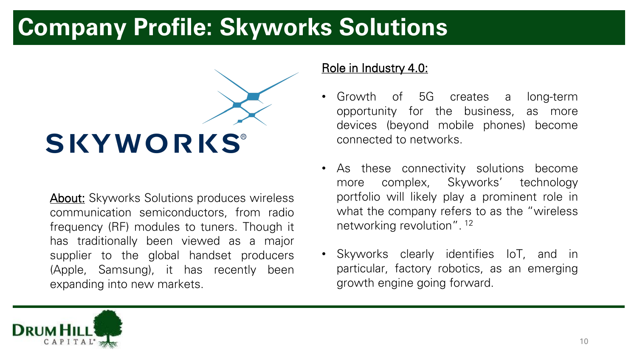#### **Company Profile: Skyworks Solutions**

# SKYWORKS®

**About:** Skyworks Solutions produces wireless communication semiconductors, from radio frequency (RF) modules to tuners. Though it has traditionally been viewed as a major supplier to the global handset producers (Apple, Samsung), it has recently been expanding into new markets.

- Growth of 5G creates a long-term opportunity for the business, as more devices (beyond mobile phones) become connected to networks.
- As these connectivity solutions become more complex, Skyworks' technology portfolio will likely play a prominent role in what the company refers to as the "wireless" networking revolution". 12
- Skyworks clearly identifies IoT, and in particular, factory robotics, as an emerging growth engine going forward.

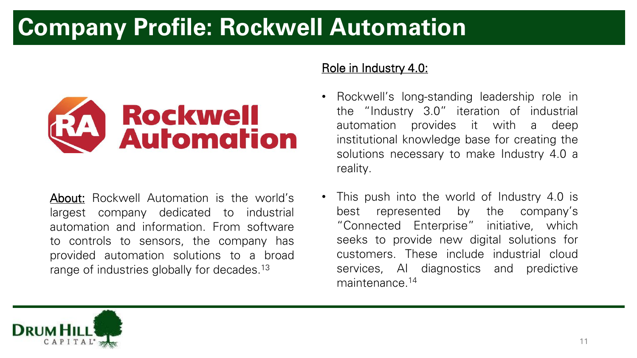## **Company Profile: Rockwell Automation**



About: Rockwell Automation is the world's largest company dedicated to industrial automation and information. From software to controls to sensors, the company has provided automation solutions to a broad range of industries globally for decades.<sup>13</sup>

- Rockwell's long-standing leadership role in the "Industry 3.0" iteration of industrial automation provides it with a deep institutional knowledge base for creating the solutions necessary to make Industry 4.0 a reality.
- This push into the world of Industry 4.0 is best represented by the company's "Connected Enterprise" initiative, which seeks to provide new digital solutions for customers. These include industrial cloud services, AI diagnostics and predictive maintenance. 14

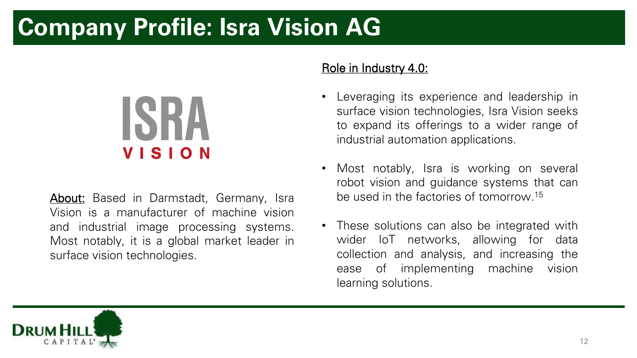### **Company Profile: Isra Vision AG**

## **ISRA VISION**

**About:** Based in Darmstadt, Germany, Isra Vision is a manufacturer of machine vision and industrial image processing systems. Most notably, it is a global market leader in surface vision technologies.

- Leveraging its experience and leadership in surface vision technologies, Isra Vision seeks to expand its offerings to a wider range of industrial automation applications.
- Most notably, Isra is working on several robot vision and guidance systems that can be used in the factories of tomorrow. 15
- These solutions can also be integrated with wider IoT networks, allowing for data collection and analysis, and increasing the ease of implementing machine vision learning solutions.

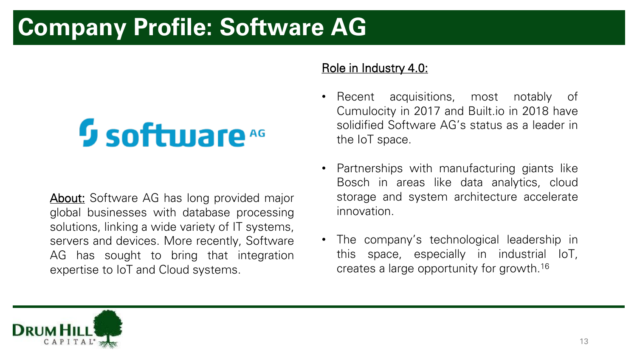## **Company Profile: Software AG**

## **5 software**

**About:** Software AG has long provided major global businesses with database processing solutions, linking a wide variety of IT systems, servers and devices. More recently, Software AG has sought to bring that integration expertise to IoT and Cloud systems.

- Recent acquisitions, most notably of Cumulocity in 2017 and Built.io in 2018 have solidified Software AG's status as a leader in the IoT space.
- Partnerships with manufacturing giants like Bosch in areas like data analytics, cloud storage and system architecture accelerate innovation.
- The company's technological leadership in this space, especially in industrial IoT, creates a large opportunity for growth. 16

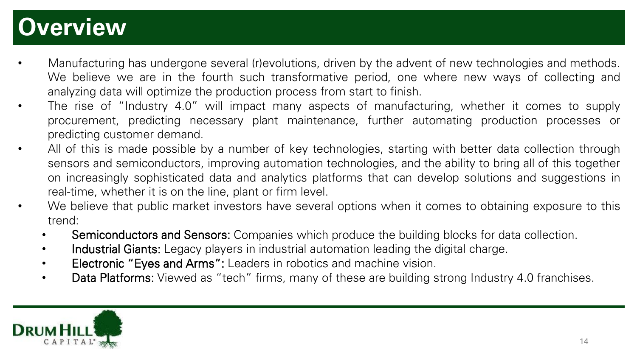#### **Overview**

- Manufacturing has undergone several (r)evolutions, driven by the advent of new technologies and methods. We believe we are in the fourth such transformative period, one where new ways of collecting and analyzing data will optimize the production process from start to finish.
- The rise of "Industry 4.0" will impact many aspects of manufacturing, whether it comes to supply procurement, predicting necessary plant maintenance, further automating production processes or predicting customer demand.
- All of this is made possible by a number of key technologies, starting with better data collection through sensors and semiconductors, improving automation technologies, and the ability to bring all of this together on increasingly sophisticated data and analytics platforms that can develop solutions and suggestions in real-time, whether it is on the line, plant or firm level.
- We believe that public market investors have several options when it comes to obtaining exposure to this trend:
	- Semiconductors and Sensors: Companies which produce the building blocks for data collection.
	- Industrial Giants: Legacy players in industrial automation leading the digital charge.
	- Electronic "Eyes and Arms": Leaders in robotics and machine vision.
	- Data Platforms: Viewed as "tech" firms, many of these are building strong Industry 4.0 franchises.

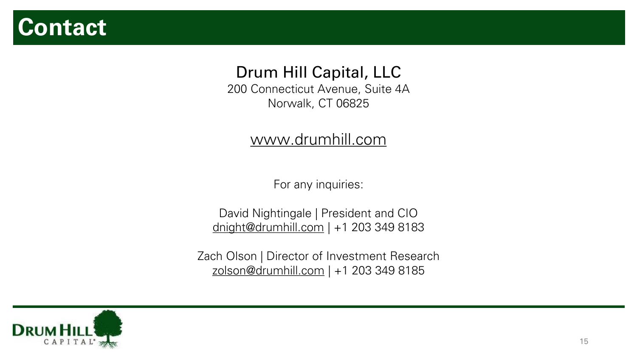#### **Contact**

#### Drum Hill Capital, LLC

200 Connecticut Avenue, Suite 4A Norwalk, CT 06825

#### [www.drumhill.com](http://www.drumhill.com/)

For any inquiries:

David Nightingale | President and CIO [dnight@drumhill.com](mailto:dnight@drumhill.com) | +1 203 349 8183

Zach Olson | Director of Investment Research [zolson@drumhill.com](mailto:zolson@drumhill.com) | +1 203 349 8185